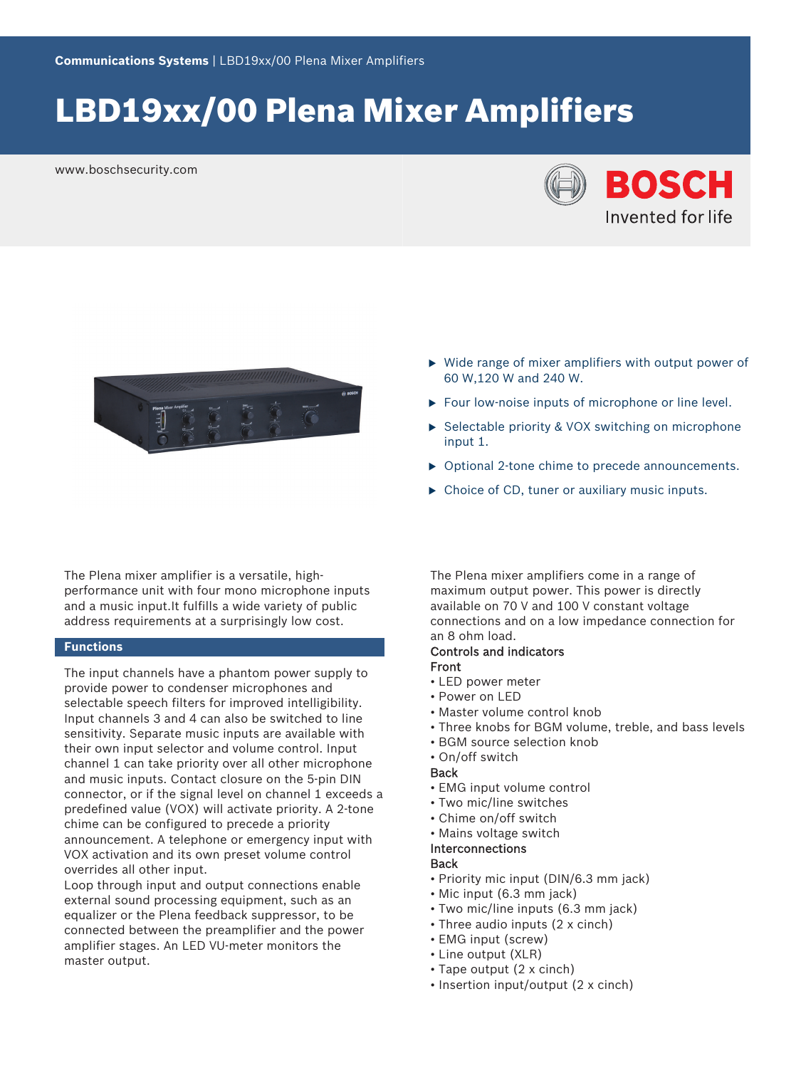# LBD19xx/00 Plena Mixer Amplifiers

www.boschsecurity.com





The Plena mixer amplifier is a versatile, highperformance unit with four mono microphone inputs and a music input.It fulfills a wide variety of public address requirements at a surprisingly low cost.

### **Functions**

The input channels have a phantom power supply to provide power to condenser microphones and selectable speech filters for improved intelligibility. Input channels 3 and 4 can also be switched to line sensitivity. Separate music inputs are available with their own input selector and volume control. Input channel 1 can take priority over all other microphone and music inputs. Contact closure on the 5-pin DIN connector, or if the signal level on channel 1 exceeds a predefined value (VOX) will activate priority. A 2-tone chime can be configured to precede a priority announcement. A telephone or emergency input with VOX activation and its own preset volume control overrides all other input.

Loop through input and output connections enable external sound processing equipment, such as an equalizer or the Plena feedback suppressor, to be connected between the preamplifier and the power amplifier stages. An LED VU-meter monitors the master output.

- $\triangleright$  Wide range of mixer amplifiers with output power of 60 W,120 W and 240 W.
- $\triangleright$  Four low-noise inputs of microphone or line level.
- $\triangleright$  Selectable priority & VOX switching on microphone input 1.
- $\triangleright$  Optional 2-tone chime to precede announcements.
- $\triangleright$  Choice of CD, tuner or auxiliary music inputs.

The Plena mixer amplifiers come in a range of maximum output power. This power is directly available on 70 V and 100 V constant voltage connections and on a low impedance connection for an 8 ohm load.

### Controls and indicators Front

- LED power meter
- Power on LED
- Master volume control knob
- Three knobs for BGM volume, treble, and bass levels
- BGM source selection knob
- On/off switch

### **Back**

- EMG input volume control
- Two mic/line switches
- Chime on/off switch
- Mains voltage switch

# Interconnections

# **Back**

- Priority mic input (DIN/6.3 mm jack)
- Mic input (6.3 mm jack)
- Two mic/line inputs (6.3 mm jack)
- Three audio inputs (2 x cinch)
- EMG input (screw)
- Line output (XLR)
- Tape output (2 x cinch)
- Insertion input/output (2 x cinch)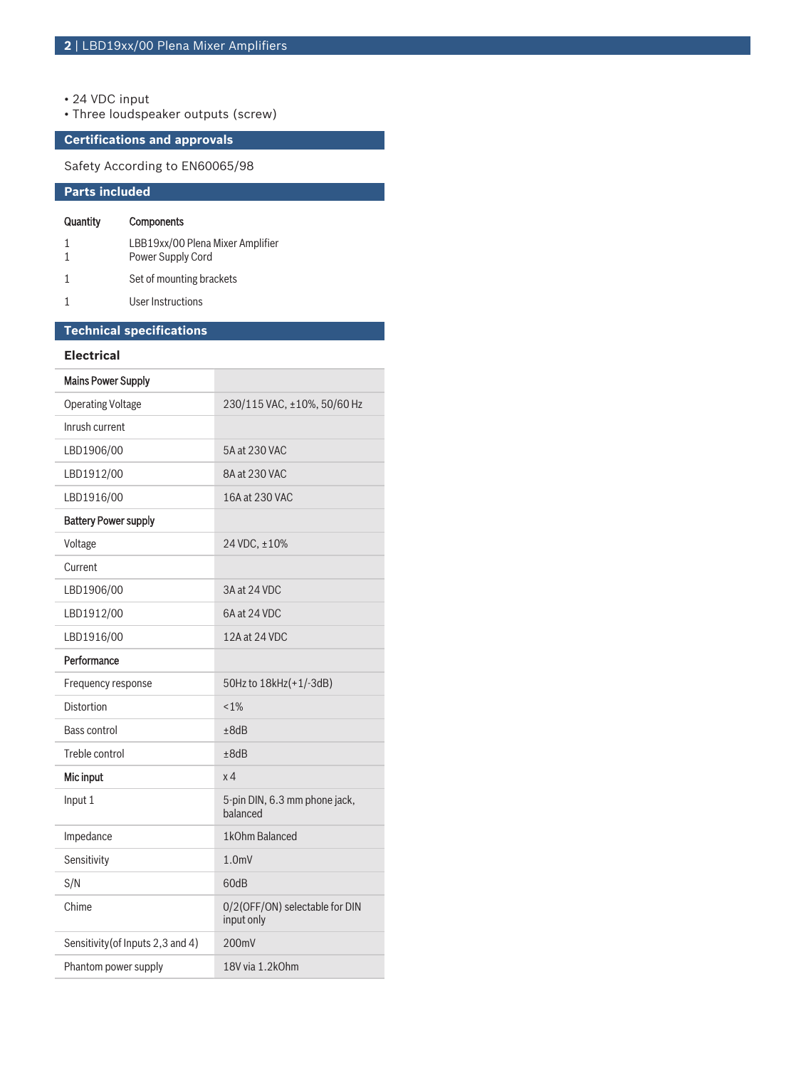- 24 VDC input
- Three loudspeaker outputs (screw)

# **Certifications and approvals**

Safety According to EN60065/98

# **Parts included**

## Quantity Components

| LBB19xx/00 Plena Mixer Amplifier<br>Power Supply Cord |
|-------------------------------------------------------|
| Set of mounting brackets                              |
| User Instructions                                     |

| <b>Technical specifications</b>   |                                              |
|-----------------------------------|----------------------------------------------|
| <b>Electrical</b>                 |                                              |
| <b>Mains Power Supply</b>         |                                              |
| <b>Operating Voltage</b>          | 230/115 VAC, ±10%, 50/60 Hz                  |
| Inrush current                    |                                              |
| LBD1906/00                        | 5A at 230 VAC                                |
| LBD1912/00                        | 8A at 230 VAC                                |
| LBD1916/00                        | 16A at 230 VAC                               |
| <b>Battery Power supply</b>       |                                              |
| Voltage                           | 24 VDC, ±10%                                 |
| Current                           |                                              |
| LBD1906/00                        | 3A at 24 VDC                                 |
| LBD1912/00                        | 6A at 24 VDC                                 |
| LBD1916/00                        | 12A at 24 VDC                                |
| Performance                       |                                              |
| Frequency response                | 50Hz to 18kHz(+1/-3dB)                       |
| Distortion                        | $< 1\%$                                      |
| <b>Bass control</b>               | ±8dB                                         |
| Treble control                    | ±8dB                                         |
| Mic input                         | x <sub>4</sub>                               |
| Input 1                           | 5-pin DIN, 6.3 mm phone jack,<br>balanced    |
| Impedance                         | 1kOhm Balanced                               |
| Sensitivity                       | $1.0m$ V                                     |
| S/N                               | 60dB                                         |
| Chime                             | 0/2(OFF/ON) selectable for DIN<br>input only |
| Sensitivity (of Inputs 2,3 and 4) | 200mV                                        |
| Phantom power supply              | 18V via 1.2kOhm                              |
|                                   |                                              |